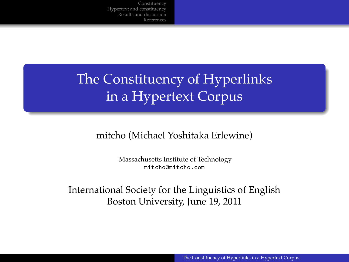.

## The Constituency of Hyperlinks in a Hypertext Corpus

mitcho (Michael Yoshitaka Erlewine)

Massachusetts Institute of Technology mitcho@mitcho.com

International Society for the Linguistics of English Boston University, June 19, 2011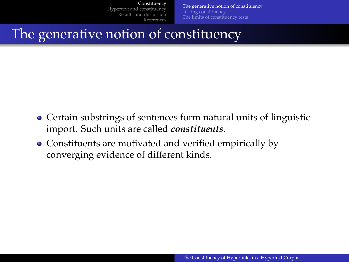Hypertext and constituency Results and discussion

Constituency

References Testing constituency The limits of constituency tests

The generative notion of constituency

The generative notion of constituency

.

- $\bullet$  Certain substrings of sentences form natural units of linguistic import. Such units are called *constituents*.
- Constituents are motivated and verified empirically by converging evidence of different kinds.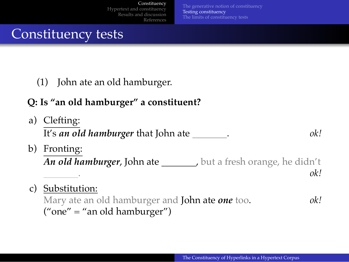Constituency

The generative notion of constituency<br>**Testing constituency**<br>The limits of constituency tests

Constituency tests

.

(1) John ate an old hamburger.

### **Q: Is "an old hamburger" a constituent?**

| a) | Clefting:<br>It's an old hamburger that John ate ______<br>ok!           |  |
|----|--------------------------------------------------------------------------|--|
| b) | Fronting:                                                                |  |
|    | <b>An old hamburger, John ate</b> _______, but a fresh orange, he didn't |  |
|    | ok!                                                                      |  |
| C) | Substitution:                                                            |  |
|    | Mary ate an old hamburger and John ate one too.<br>ok!                   |  |
|    | ("one" = "an old hamburger")                                             |  |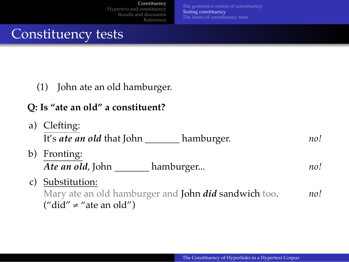Constituency

The generative notion of constituency<br>**Testing constituency**<br>The limits of constituency tests

Constituency tests

.

(1) John ate an old hamburger.

### **Q: Is "ate an old" a constituent?**

| a) | Clefting:<br>It's <i>ate an old</i> that John<br>hamburger.                                                 | no! |
|----|-------------------------------------------------------------------------------------------------------------|-----|
| b) | Fronting:<br>Ate an old, John<br>hamburger                                                                  | no! |
| C) | Substitution:<br>Mary ate an old hamburger and John <i>did</i> sandwich too.<br>("did" $\neq$ "ate an old") | no! |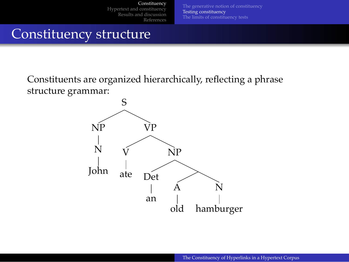

Constituents are organized hierarchically, reflecting a phrase structure grammar:

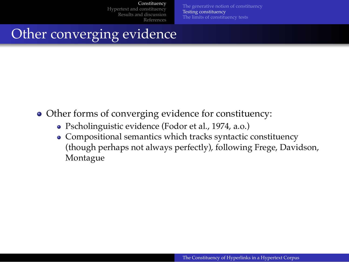The generative notion of constituency<br>**Testing constituency**<br>The limits of constituency tests

. Other converging evidence

Other forms of converging evidence for constituency:

- Pscholinguistic evidence (Fodor et al., 1974, a.o.)
- Compositional semantics which tracks syntactic constituency (though perhaps not always perfectly), following Frege, Davidson, Montague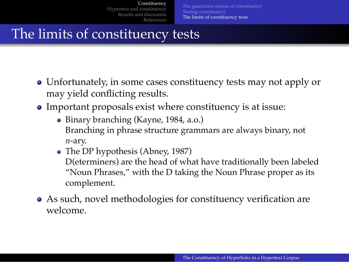Constituency Hyper Results and discussion

Testing constituency The limits of constituency tests

The limits of constituency tests

.

- Unfortunately, in some cases constituency tests may not apply or may yield conflicting results.
- Important proposals exist where constituency is at issue:

References

- Binary branching (Kayne, 1984, a.o.) Branching in phrase structure grammars are always binary, not *n*-ary.
- The DP hypothesis (Abney, 1987) D(eterminers) are the head of what have traditionally been labeled "Noun Phrases," with the D taking the Noun Phrase proper as its complement.
- As such, novel methodologies for constituency verification are welcome.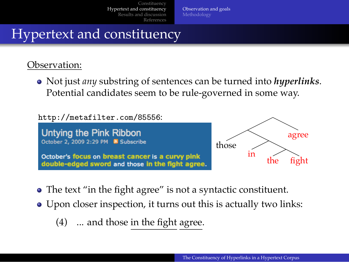Observation and goals Methodology

## . Hypertext and constituency

#### Observation:

Not just *any* substring of sentences can be turned into *hyperlinks*. Potential candidates seem to be rule-governed in some way.

http://metafilter.com/85556:



- The text "in the fight agree" is not a syntactic constituent.
- Upon closer inspection, it turns out this is actually two links:
	- (4) ... and those in the fight agree.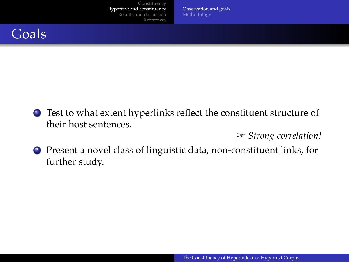## Goals

<sup>1</sup>. Test to what extent hyperlinks reflect the constituent structure of their host sentences.

Observation and goals Methodology

**☞** *Strong correlation!*

<sup>2</sup>. Present a novel class of linguistic data, non-constituent links, for further study.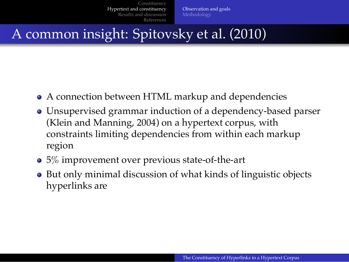. A common insight: Spitovsky et al. (2010)

- A connection between HTML markup and dependencies
- Unsupervised grammar induction of a dependency-based parser (Klein and Manning, 2004) on a hypertext corpus, with constraints limiting dependencies from within each markup region

Observation and goals Methodology

- 5% improvement over previous state-of-the-art
- But only minimal discussion of what kinds of linguistic objects hyperlinks are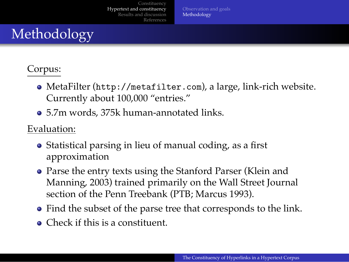## . Methodology

#### Corpus:

MetaFilter (http://metafilter.com), a large, link-rich website. Currently about 100,000 "entries."

Observation and goals<br>**Methodology** 

5.7m words, 375k human-annotated links.

#### Evaluation:

- Statistical parsing in lieu of manual coding, as a first approximation
- Parse the entry texts using the Stanford Parser (Klein and Manning, 2003) trained primarily on the Wall Street Journal section of the Penn Treebank (PTB; Marcus 1993).
- Find the subset of the parse tree that corresponds to the link.
- Check if this is a constituent.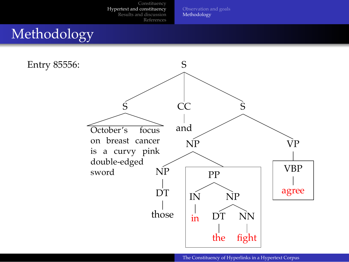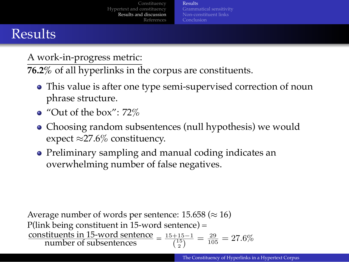### Results

.

A work-in-progress metric:

**76.2%** of all hyperlinks in the corpus are constituents.

This value is after one type semi-supervised correction of noun phrase structure.

Results

Grammatical sensitivity Non-constituent links

- "Out of the box": 72%
- Choosing random subsentences (null hypothesis) we would expect *≈*27.6% constituency.
- Preliminary sampling and manual coding indicates an overwhelming number of false negatives.

Average number of words per sentence: 15.658 (*≈* 16) P(link being constituent in 15-word sentence) = constituents in 15-word sentence =  $\frac{15+15-1}{\binom{15}{2}} = \frac{29}{105} = 27.6\%$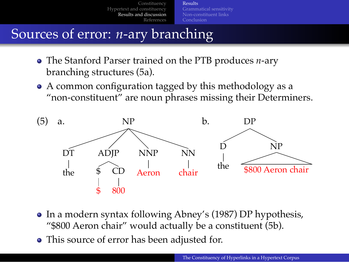### Sources of error: *n*-ary branching

.

- The Stanford Parser trained on the PTB produces *n*-ary branching structures (5a).
- A common configuration tagged by this methodology as a "non-constituent" are noun phrases missing their Determiners.

Results

Grammatical sensitivity Non-constituent links



- In a modern syntax following Abney's (1987) DP hypothesis, "\$800 Aeron chair" would actually be a constituent (5b).
- This source of error has been adjusted for.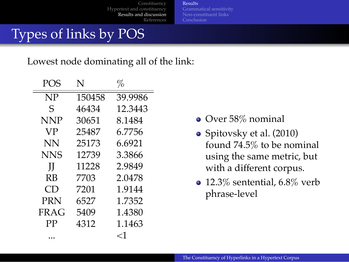References

Results

Grammatical sensitivity Non-constituent links

# Types of links by POS

.

Lowest node dominating all of the link:

| POS         | N      | %       |
|-------------|--------|---------|
| NP          | 150458 | 39.9986 |
| S           | 46434  | 12.3443 |
| NNP         | 30651  | 8.1484  |
| VP          | 25487  | 6.7756  |
| NΝ          | 25173  | 6.6921  |
| NNS         | 12739  | 3.3866  |
| Н           | 11228  | 2.9849  |
| RB          | 7703   | 2.0478  |
| CD          | 7201   | 1.9144  |
| <b>PRN</b>  | 6527   | 1.7352  |
| <b>FRAG</b> | 5409   | 1.4380  |
| PP          | 4312   | 1.1463  |
|             |        | ا>      |

- Over 58% nominal
- Spitovsky et al. (2010) found 74.5% to be nominal using the same metric, but with a different corpus.
- 12.3% sentential, 6.8% verb phrase-level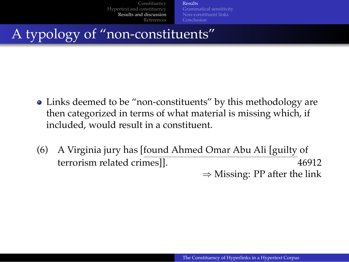. A typology of "non-constituents"

Links deemed to be "non-constituents" by this methodology are then categorized in terms of what material is missing which, if included, would result in a constituent.

Results

Grammatical sensitivity Non-constituent links

(6) A Virginia jury has [found Ahmed Omar Abu Ali [guilty of terrorism related crimes]]. 46912 *⇒* Missing: PP after the link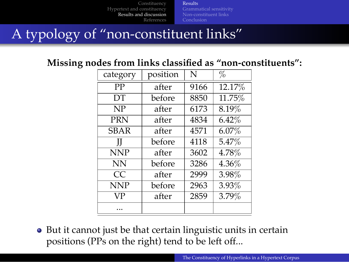Grammatical sensitivity Non-constituent links

# . A typology of "non-constituent links"

### **Missing nodes from links classified as "non-constituents":**

Results

| category    | position | N    | %      |
|-------------|----------|------|--------|
| PP          | after    | 9166 | 12.17% |
| DТ          | before   | 8850 | 11.75% |
| NP          | after    | 6173 | 8.19%  |
| <b>PRN</b>  | after    | 4834 | 6.42%  |
| <b>SBAR</b> | after    | 4571 | 6.07%  |
| Ш           | before   | 4118 | 5.47%  |
| <b>NNP</b>  | after    | 3602 | 4.78%  |
| <b>NN</b>   | before   | 3286 | 4.36%  |
| CC          | after    | 2999 | 3.98%  |
| <b>NNP</b>  | before   | 2963 | 3.93%  |
| VP          | after    | 2859 | 3.79%  |
|             |          |      |        |

• But it cannot just be that certain linguistic units in certain positions (PPs on the right) tend to be left off...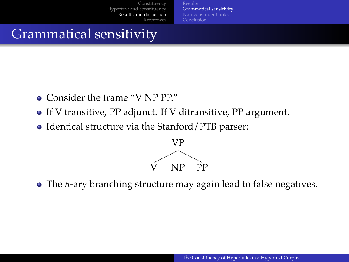. Grammatical sensitivity

- Consider the frame "V NP PP."
- If V transitive, PP adjunct. If V ditransitive, PP argument.
- Identical structure via the Stanford/PTB parser:



Grammatical sensitivity

The *n*-ary branching structure may again lead to false negatives.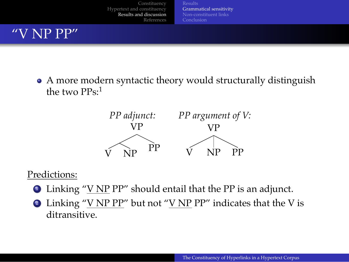### "V NP PP"

.

A more modern syntactic theory would structurally distinguish the two PPs:<sup>1</sup>

Results Grammatical sensitivity Non-constituent links



#### Predictions:

- $\bullet$  Linking "V NP PP" should entail that the PP is an adjunct.
- $\bullet$  Linking "<u>V NP PP</u>" but not "<u>V NP</u> PP" indicates that the V is ditransitive.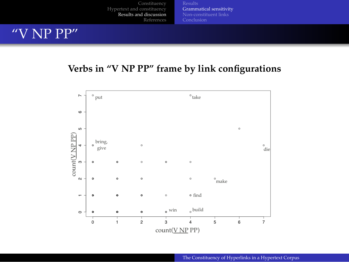Constituency Hypertext and constituency Results and discussion References Results Grammatical sensitivity Non-constituent links "V NP PP"



.

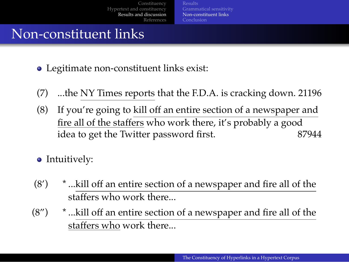### . Non-constituent links

- Legitimate non-constituent links exist:
- (7) ...the NY Times reports that the F.D.A. is cracking down. 21196

Results Grammatical sensitivity Non-constituent links

- (8) If you're going to kill off an entire section of a newspaper and fire all of the staffers who work there, it's probably a good idea to get the Twitter password first. 87944
- Intuitively:
- (8') \* ...kill off an entire section of a newspaper and fire all of the staffers who work there...
- (8") \* ...kill off an entire section of a newspaper and fire all of the staffers who work there...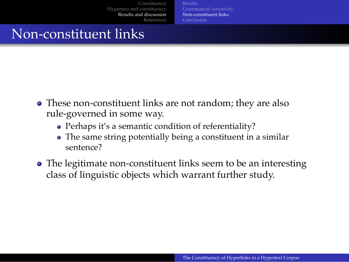. Non-constituent links

- These non-constituent links are not random; they are also rule-governed in some way.
	- Perhaps it's a semantic condition of referentiality?
	- The same string potentially being a constituent in a similar sentence?

Results Grammatical sensitivity Non-constituent links

• The legitimate non-constituent links seem to be an interesting class of linguistic objects which warrant further study.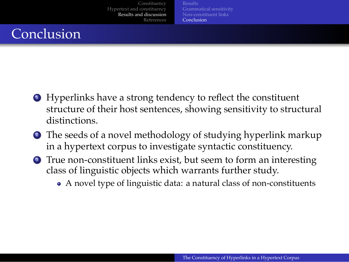## **Conclusion**

.

<sup>1</sup>. Hyperlinks have a strong tendency to reflect the constituent structure of their host sentences, showing sensitivity to structural distinctions.

Grammatical sensitivity Non-constituent links Conclusion

- <sup>2</sup>. The seeds of a novel methodology of studying hyperlink markup in a hypertext corpus to investigate syntactic constituency.
- <sup>3</sup>. True non-constituent links exist, but seem to form an interesting class of linguistic objects which warrants further study.
	- A novel type of linguistic data: a natural class of non-constituents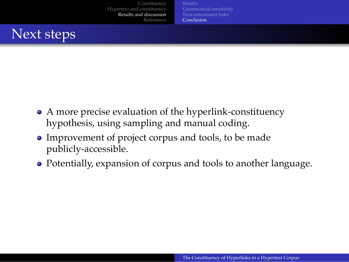## . Next steps

- A more precise evaluation of the hyperlink-constituency hypothesis, using sampling and manual coding.
- Improvement of project corpus and tools, to be made publicly-accessible.
- Potentially, expansion of corpus and tools to another language.

Grammatical sensitivity Non-constituent links Conclusion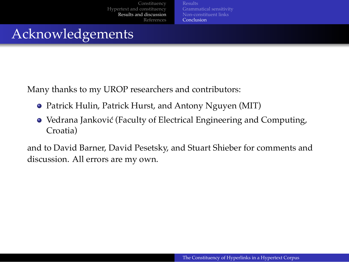. Acknowledgements

Many thanks to my UROP researchers and contributors:

- Patrick Hulin, Patrick Hurst, and Antony Nguyen (MIT)
- Vedrana Janković (Faculty of Electrical Engineering and Computing, Croatia)

Grammatical sensitivity Non-constituent links Conclusion

and to David Barner, David Pesetsky, and Stuart Shieber for comments and discussion. All errors are my own.